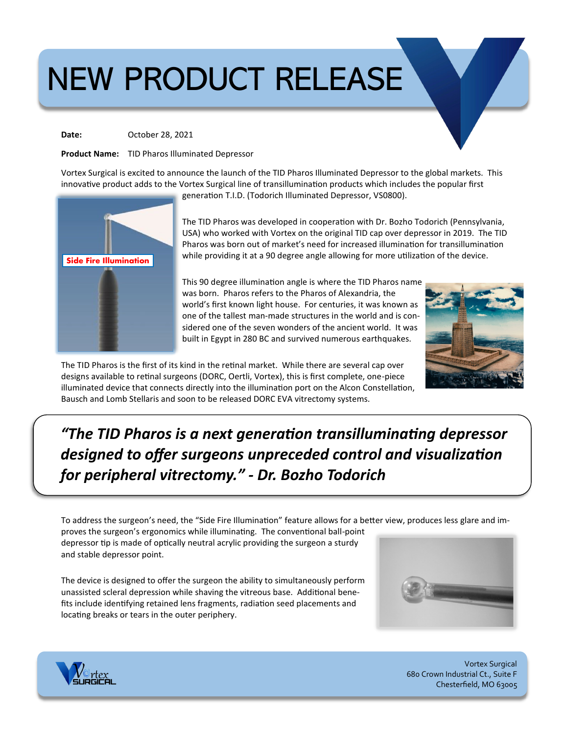# NEW PRODUCT RELEASE

**Date:** October 28, 2021

**Product Name:** TID Pharos Illuminated Depressor

Vortex Surgical is excited to announce the launch of the TID Pharos Illuminated Depressor to the global markets. This innovative product adds to the Vortex Surgical line of transillumination products which includes the popular first



The TID Pharos was developed in cooperation with Dr. Bozho Todorich (Pennsylvania, USA) who worked with Vortex on the original TID cap over depressor in 2019. The TID Pharos was born out of market's need for increased illumination for transillumination while providing it at a 90 degree angle allowing for more utilization of the device.

This 90 degree illumination angle is where the TID Pharos name was born. Pharos refers to the Pharos of Alexandria, the world's first known light house. For centuries, it was known as one of the tallest man-made structures in the world and is considered one of the seven wonders of the ancient world. It was built in Egypt in 280 BC and survived numerous earthquakes.

The TID Pharos is the first of its kind in the retinal market. While there are several cap over designs available to retinal surgeons (DORC, Oertli, Vortex), this is first complete, one-piece illuminated device that connects directly into the illumination port on the Alcon Constellation, Bausch and Lomb Stellaris and soon to be released DORC EVA vitrectomy systems.

### *"The TID Pharos is a next generation transilluminating depressor designed to offer surgeons unpreceded control and visualization for peripheral vitrectomy." - Dr. Bozho Todorich*

To address the surgeon's need, the "Side Fire Illumination" feature allows for a better view, produces less glare and improves the surgeon's ergonomics while illuminating. The conventional ball-point depressor tip is made of optically neutral acrylic providing the surgeon a sturdy and stable depressor point.

The device is designed to offer the surgeon the ability to simultaneously perform unassisted scleral depression while shaving the vitreous base. Additional benefits include identifying retained lens fragments, radiation seed placements and locating breaks or tears in the outer periphery.